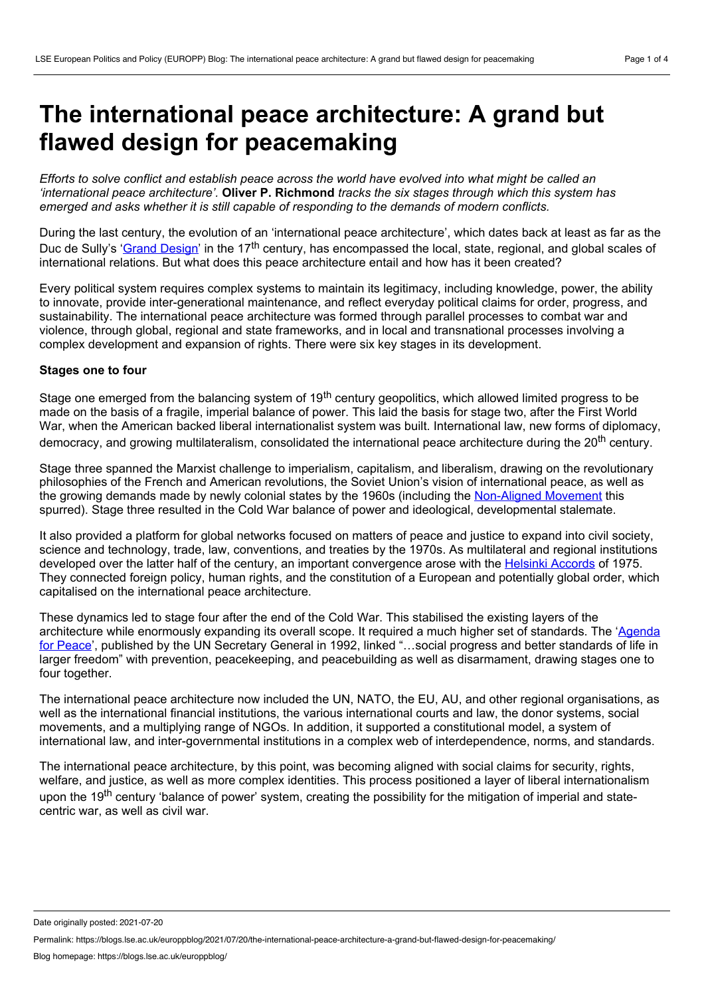# **The international peace architecture: A grand but flawed design for peacemaking**

Efforts to solve conflict and establish peace across the world have evolved into what might be called an *'international peace architecture'.* **Oliver P. Richmond** *tracks the six stages through which this system has emerged and asks whether it is still capable of responding to the demands of modern conflicts.*

During the last century, the evolution of an 'international peace architecture', which dates back at least as far as the Duc de Sully's '<u>Grand Design</u>' in the 17<sup>th</sup> century, has encompassed the local, state, regional, and global scales of international relations. But what does this peace architecture entail and how has it been created?

Every political system requires complex systems to maintain its legitimacy, including knowledge, power, the ability to innovate, provide inter-generational maintenance, and reflect everyday political claims for order, progress, and sustainability. The international peace architecture was formed through parallel processes to combat war and violence, through global, regional and state frameworks, and in local and transnational processes involving a complex development and expansion of rights. There were six key stages in its development.

## **Stages one to four**

Stage one emerged from the balancing system of 19<sup>th</sup> century geopolitics, which allowed limited progress to be made on the basis of a fragile, imperial balance of power. This laid the basis for stage two, after the First World War, when the American backed liberal internationalist system was built. International law, new forms of diplomacy, democracy, and growing multilateralism, consolidated the international peace architecture during the 20<sup>th</sup> century.

Stage three spanned the Marxist challenge to imperialism, capitalism, and liberalism, drawing on the revolutionary philosophies of the French and American revolutions, the Soviet Union's vision of international peace, as well as the growing demands made by newly colonial states by the 1960s (including the [Non-Aligned](http://news.bbc.co.uk/2/hi/2798187.stm) Movement this spurred). Stage three resulted in the Cold War balance of power and ideological, developmental stalemate.

It also provided a platform for global networks focused on matters of peace and justice to expand into civil society, science and technology, trade, law, conventions, and treaties by the 1970s. As multilateral and regional institutions developed over the latter half of the century, an important convergence arose with the Helsinki [Accords](https://www.britannica.com/event/Helsinki-Accords) of 1975. They connected foreign policy, human rights, and the constitution of a European and potentially global order, which capitalised on the international peace architecture.

These dynamics led to stage four after the end of the Cold War. This stabilised the existing layers of the [architecture](https://www.un.org/ruleoflaw/files/A_47_277.pdf) while enormously expanding its overall scope. It required a much higher set of standards. The 'Agenda for Peace', published by the UN Secretary General in 1992, linked "…social progress and better standards of life in larger freedom" with prevention, peacekeeping, and peacebuilding as well as disarmament, drawing stages one to four together.

The international peace architecture now included the UN, NATO, the EU, AU, and other regional organisations, as well as the international financial institutions, the various international courts and law, the donor systems, social movements, and a multiplying range of NGOs. In addition, it supported a constitutional model, a system of international law, and inter-governmental institutions in a complex web of interdependence, norms, and standards.

The international peace architecture, by this point, was becoming aligned with social claims for security, rights, welfare, and justice, as well as more complex identities. This process positioned a layer of liberal internationalism upon the 19<sup>th</sup> century 'balance of power' system, creating the possibility for the mitigation of imperial and statecentric war, as well as civil war.

Date originally posted: 2021-07-20

Permalink: https://blogs.lse.ac.uk/europpblog/2021/07/20/the-international-peace-architecture-a-grand-but-flawed-design-for-peacemaking/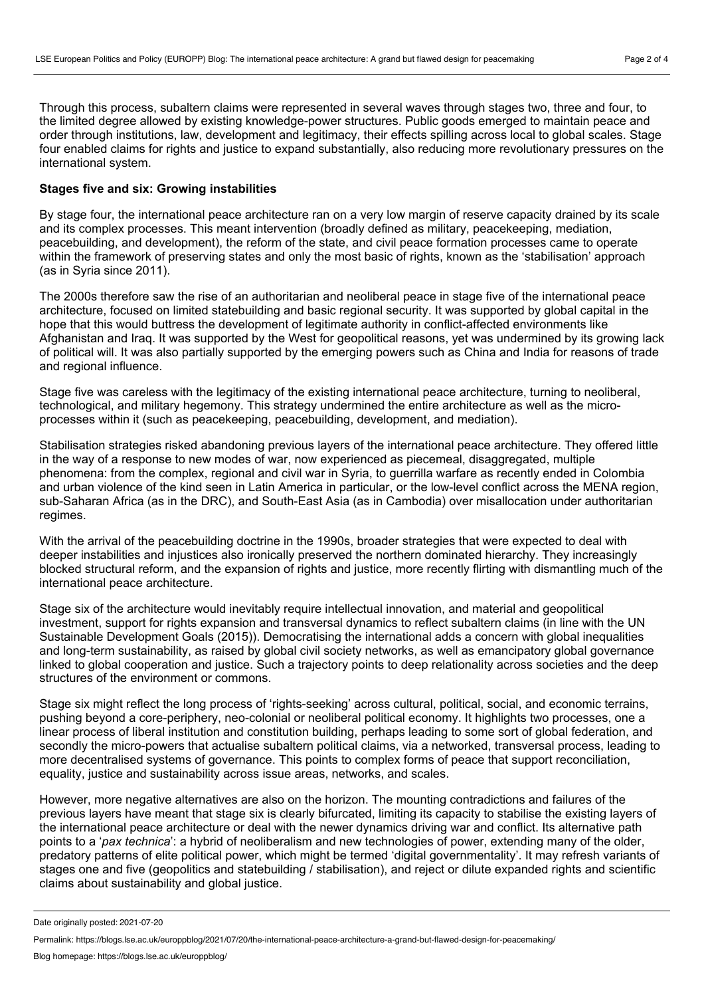Through this process, subaltern claims were represented in several waves through stages two, three and four, to the limited degree allowed by existing knowledge-power structures. Public goods emerged to maintain peace and order through institutions, law, development and legitimacy, their effects spilling across local to global scales. Stage four enabled claims for rights and justice to expand substantially, also reducing more revolutionary pressures on the international system.

# **Stages five and six: Growing instabilities**

By stage four, the international peace architecture ran on a very low margin of reserve capacity drained by its scale and its complex processes. This meant intervention (broadly defined as military, peacekeeping, mediation, peacebuilding, and development), the reform of the state, and civil peace formation processes came to operate within the framework of preserving states and only the most basic of rights, known as the 'stabilisation' approach (as in Syria since 2011).

The 2000s therefore saw the rise of an authoritarian and neoliberal peace in stage five of the international peace architecture, focused on limited statebuilding and basic regional security. It was supported by global capital in the hope that this would buttress the development of legitimate authority in conflict-affected environments like Afghanistan and Iraq. It was supported by the West for geopolitical reasons, yet was undermined by its growing lack of political will. It was also partially supported by the emerging powers such as China and India for reasons of trade and regional influence.

Stage five was careless with the legitimacy of the existing international peace architecture, turning to neoliberal, technological, and military hegemony. This strategy undermined the entire architecture as well as the micro processes within it (such as peacekeeping, peacebuilding, development, and mediation).

Stabilisation strategies risked abandoning previous layers of the international peace architecture. They offered little in the way of a response to new modes of war, now experienced as piecemeal, disaggregated, multiple phenomena: from the complex, regional and civil war in Syria, to guerrilla warfare as recently ended in Colombia and urban violence of the kind seen in Latin America in particular, or the low-level conflict across the MENA region, sub-Saharan Africa (as in the DRC), and South-East Asia (as in Cambodia) over misallocation under authoritarian regimes.

With the arrival of the peacebuilding doctrine in the 1990s, broader strategies that were expected to deal with deeper instabilities and injustices also ironically preserved the northern dominated hierarchy. They increasingly blocked structural reform, and the expansion of rights and justice, more recently flirting with dismantling much of the international peace architecture.

Stage six of the architecture would inevitably require intellectual innovation, and material and geopolitical investment, support for rights expansion and transversal dynamics to reflect subaltern claims (in line with the UN Sustainable Development Goals (2015)). Democratising the international adds a concern with global inequalities and long-term sustainability, as raised by global civil society networks, as well as emancipatory global governance linked to global cooperation and justice. Such a trajectory points to deep relationality across societies and the deep structures of the environment or commons.

Stage six might reflect the long process of 'rights-seeking' across cultural, political, social, and economic terrains, pushing beyond a core-periphery, neo-colonial or neoliberal political economy. It highlights two processes, one a linear process of liberal institution and constitution building, perhaps leading to some sort of global federation, and secondly the micro-powers that actualise subaltern political claims, via a networked, transversal process, leading to more decentralised systems of governance. This points to complex forms of peace that support reconciliation, equality, justice and sustainability across issue areas, networks, and scales.

However, more negative alternatives are also on the horizon. The mounting contradictions and failures of the previous layers have meant that stage six is clearly bifurcated, limiting its capacity to stabilise the existing layers of the international peace architecture or deal with the newer dynamics driving war and conflict. Its alternative path points to a '*pax technica*': a hybrid of neoliberalism and new technologies of power, extending many of the older, predatory patterns of elite political power, which might be termed 'digital governmentality'. It may refresh variants of stages one and five (geopolitics and statebuilding / stabilisation), and reject or dilute expanded rights and scientific claims about sustainability and global justice.

Date originally posted: 2021-07-20

Permalink: https://blogs.lse.ac.uk/europpblog/2021/07/20/the-international-peace-architecture-a-grand-but-flawed-design-for-peacemaking/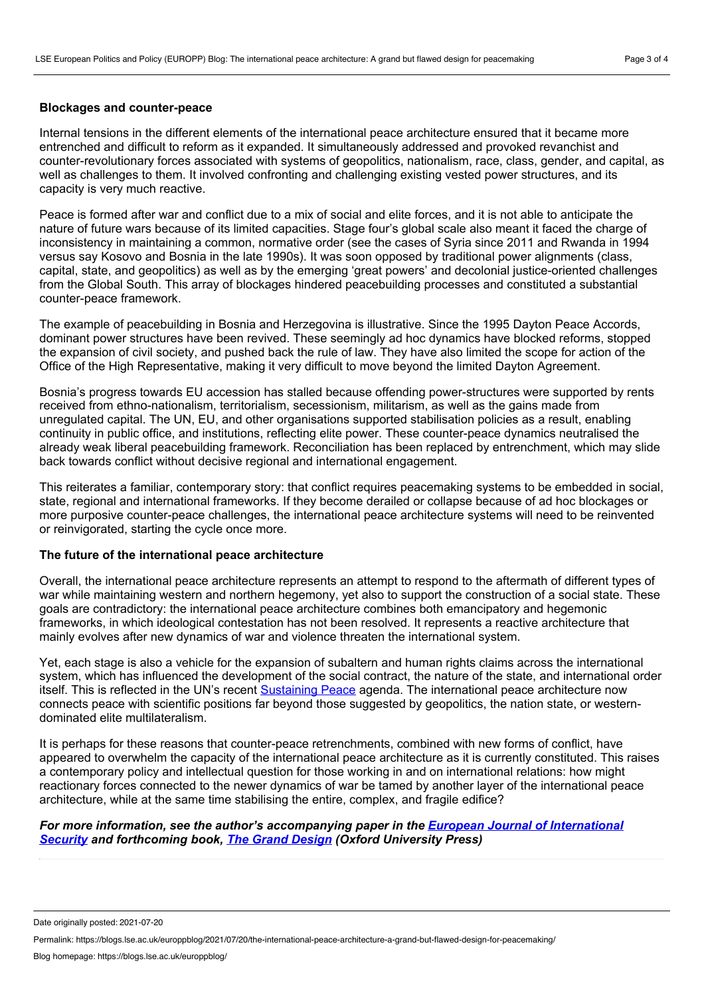#### **Blockages and counter-peace**

Internal tensions in the different elements of the international peace architecture ensured that it became more entrenched and difficult to reform as it expanded. It simultaneously addressed and provoked revanchist and counter-revolutionary forces associated with systems of geopolitics, nationalism, race, class, gender, and capital, as well as challenges to them. It involved confronting and challenging existing vested power structures, and its capacity is very much reactive.

Peace is formed after war and conflict due to a mix of social and elite forces, and it is not able to anticipate the nature of future wars because of its limited capacities. Stage four's global scale also meant it faced the charge of inconsistency in maintaining a common, normative order (see the cases of Syria since 2011 and Rwanda in 1994 versus say Kosovo and Bosnia in the late 1990s). It was soon opposed by traditional power alignments (class, capital, state, and geopolitics) as well as by the emerging 'great powers' and decolonial justice-oriented challenges from the Global South. This array of blockages hindered peacebuilding processes and constituted a substantial counter-peace framework.

The example of peacebuilding in Bosnia and Herzegovina is illustrative. Since the 1995 Dayton Peace Accords, dominant power structures have been revived. These seemingly ad hoc dynamics have blocked reforms, stopped the expansion of civil society, and pushed back the rule of law. They have also limited the scope for action of the Office of the High Representative, making it very difficult to move beyond the limited Dayton Agreement.

Bosnia's progress towards EU accession has stalled because offending power-structures were supported by rents received from ethno-nationalism, territorialism, secessionism, militarism, as well as the gains made from unregulated capital. The UN, EU, and other organisations supported stabilisation policies as a result, enabling continuity in public office, and institutions, reflecting elite power. These counter-peace dynamics neutralised the already weak liberal peacebuilding framework. Reconciliation has been replaced by entrenchment, which may slide back towards conflict without decisive regional and international engagement.

This reiterates a familiar, contemporary story: that conflict requires peacemaking systems to be embedded in social, state, regional and international frameworks. If they become derailed or collapse because of ad hoc blockages or more purposive counter-peace challenges, the international peace architecture systems will need to be reinvented or reinvigorated, starting the cycle once more.

## **The future of the international peace architecture**

Overall, the international peace architecture represents an attempt to respond to the aftermath of different types of war while maintaining western and northern hegemony, yet also to support the construction of a social state. These goals are contradictory: the international peace architecture combines both emancipatory and hegemonic frameworks, in which ideological contestation has not been resolved. It represents a reactive architecture that mainly evolves after new dynamics of war and violence threaten the international system.

Yet, each stage is also a vehicle for the expansion of subaltern and human rights claims across the international system, which has influenced the development of the social contract, the nature of the state, and international order itself. This is reflected in the UN's recent [Sustaining](https://www.un.org/peacebuilding/tags/sustaining-peace) Peace agenda. The international peace architecture now connects peace with scientific positions far beyond those suggested by geopolitics, the nation state, or western dominated elite multilateralism.

It is perhaps for these reasons that counter-peace retrenchments, combined with new forms of conflict, have appeared to overwhelm the capacity of the international peace architecture as it is currently constituted. This raises a contemporary policy and intellectual question for those working in and on international relations: how might reactionary forces connected to the newer dynamics of war be tamed by another layer of the international peace architecture, while at the same time stabilising the entire, complex, and fragile edifice?

# *For more information, see the author's [accompanying](https://doi.org/10.1017/eis.2021.12) paper in the European Journal of International Security and forthcoming book, The Grand [Design](https://global.oup.com/academic/product/the-grand-design-9780190850449?cc=jp&lang=en&) (Oxford University Press)*

Date originally posted: 2021-07-20

Permalink: https://blogs.lse.ac.uk/europpblog/2021/07/20/the-international-peace-architecture-a-grand-but-flawed-design-for-peacemaking/